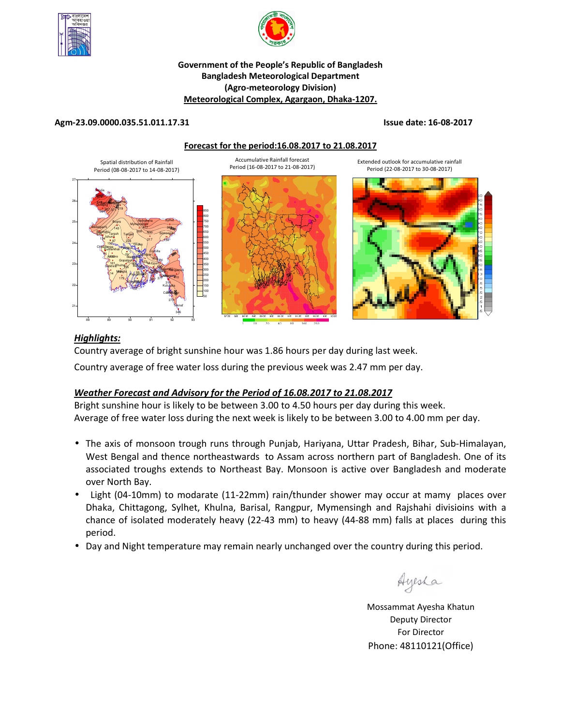



#### **Government of the People's Republic of Bangladesh Bangladesh Meteorological Department (Agro-meteorology Division) Meteorological Complex, Agargaon, Dhaka-1207.**

#### **Agm-23.09.0000.035.51.011.17.31 Issue date: 16-08-2017**







## *Highlights:*

Country average of bright sunshine hour was 1.86 hours per day during last week.

Country average of free water loss during the previous week was 2.47 mm per day.

## *Weather Forecast and Advisory for the Period of 16.08.2017 to 21.08.2017*

Bright sunshine hour is likely to be between 3.00 to 4.50 hours per day during this week. Average of free water loss during the next week is likely to be between 3.00 to 4.00 mm per day.

- The axis of monsoon trough runs through Punjab, Hariyana, Uttar Pradesh, Bihar, Sub-Himalayan, West Bengal and thence northeastwards to Assam across northern part of Bangladesh. One of its associated troughs extends to Northeast Bay. Monsoon is active over Bangladesh and moderate over North Bay.
- Light (04-10mm) to modarate (11-22mm) rain/thunder shower may occur at mamy places over Dhaka, Chittagong, Sylhet, Khulna, Barisal, Rangpur, Mymensingh and Rajshahi divisioins with a chance of isolated moderately heavy (22-43 mm) to heavy (44-88 mm) falls at places during this period.
- Day and Night temperature may remain nearly unchanged over the country during this period.

Ayesha

**N.B** Mossammat Ayesha Khatun Deputy Director For Director Phone: 48110121(Office)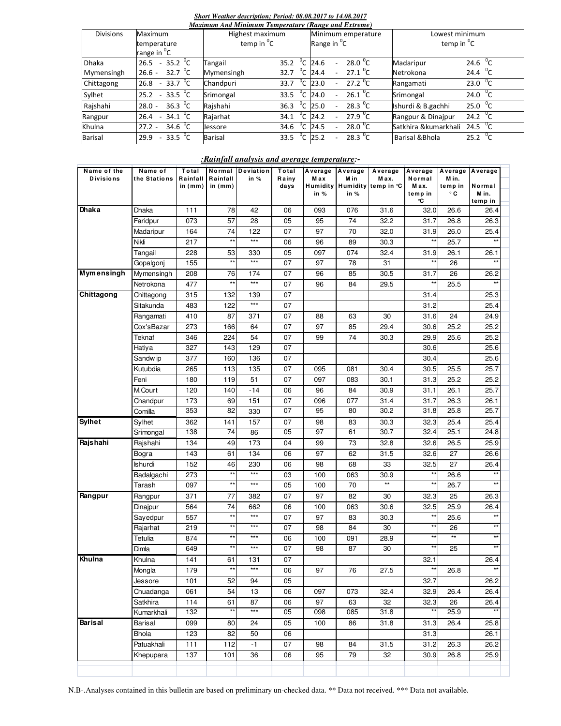### *Short Weather description; Period: 08.08.2017 to 14.08.2017*

| Maximum And Minimum Temperature (Range and Extreme) |                                         |                                  |                                |                                           |  |  |  |  |  |
|-----------------------------------------------------|-----------------------------------------|----------------------------------|--------------------------------|-------------------------------------------|--|--|--|--|--|
| <b>Divisions</b>                                    | Maximum                                 | Highest maximum                  | Minimum emperature             | Lowest minimum                            |  |  |  |  |  |
|                                                     | temperature                             | temp in ${}^{0}C$                | Range in <sup>o</sup> C        | temp in ${}^{0}C$                         |  |  |  |  |  |
|                                                     | range in <sup>o</sup> C                 |                                  |                                |                                           |  |  |  |  |  |
| <b>Dhaka</b>                                        | 35.2 $\mathrm{^0C}$<br>26.5             | $^0C$<br>35.2<br>Tangail         | 28.0 $\degree$ C<br>24.6       | 24.6 $^{0}C$<br>Madaripur                 |  |  |  |  |  |
| Mymensingh                                          | 32.7 $^{\circ}$ C<br>$26.6 -$           | °C<br>Mymensingh<br>32.7         | 27.1 $\mathrm{^0C}$<br>24.4    | 24.4 $^{0}C$<br>Netrokona                 |  |  |  |  |  |
| Chittagong                                          | 33.7 $\mathrm{^0C}$<br>26.8<br>$\sim$   | $^0C$<br>Chandpuri<br>33.7       | $27.2 \, \mathrm{^0C}$<br>23.0 | 23.0 $^{0}$ C<br>Rangamati                |  |  |  |  |  |
| Sylhet                                              | 33.5 $\overline{^0C}$<br>25.2<br>$\sim$ | $^0C$<br>Srimongal<br>33.5       | 26.1 <sup>o</sup> C<br>24.0    | 24.0 $^{0}C$<br>Srimongal                 |  |  |  |  |  |
| Rajshahi                                            | 36.3 $^{\circ}$ C<br>$28.0 -$           | $^{\circ}$ C<br>Rajshahi<br>36.3 | 28.3 $\degree$ C<br>25.0       | 25.0 $\degree$ C<br>Ishurdi & B.gachhi    |  |  |  |  |  |
| Rangpur                                             | 34.1 $\mathrm{^0C}$<br>26.4             | °C<br>Rajarhat<br>34.1           | 27.9 $\sqrt[0]{C}$<br>24.2     | 24.2 $\mathrm{^0C}$<br>Rangpur & Dinajpur |  |  |  |  |  |
| Khulna                                              | 34.6 $^{0}C$<br>$27.2 -$                | °с<br>34.6<br>Jessore            | 28.0 $\degree$ C<br>24.5       | 24.5 $^{0}C$<br>Satkhira &kumarkhali      |  |  |  |  |  |
| <b>Barisal</b>                                      | 33.5 $\degree$ C<br>29.9                | °C<br><b>Barisal</b><br>33.5     | 28.3 $\mathrm{C}$<br>25.2      | 25.2 $\mathrm{^0C}$<br>Barisal & Bhola    |  |  |  |  |  |

#### *:Rainfall analysis and average temperature:-*

| Name of the       | Name of        | Total                 | Normal                | Deviation    | Total         | Average | Average | Average                               | Average        | Average          | Average         |
|-------------------|----------------|-----------------------|-----------------------|--------------|---------------|---------|---------|---------------------------------------|----------------|------------------|-----------------|
| <b>Divisions</b>  | the Stations   | Rainfall<br>in $(mm)$ | Rainfall<br>in $(mm)$ | in $%$       | Rainy<br>days | M ax    | M in    | M ax.<br>Humidity Humidity temp in °C | Normal<br>Max. | M in.<br>temp in | Normal          |
|                   |                |                       |                       |              |               | in %    | in %    |                                       | temp in        | ۰c               | M in.           |
| Dhaka             | Dhaka          | 111                   | 78                    | 42           | 06            | 093     | 076     | 31.6                                  | °C<br>32.0     | 26.6             | temp in<br>26.4 |
|                   | Faridpur       | 073                   | 57                    | 28           | 05            | 95      | 74      | 32.2                                  | 31.7           | 26.8             | 26.3            |
|                   | Madaripur      | 164                   | 74                    | 122          | 07            | 97      | 70      | 32.0                                  | 31.9           | 26.0             | 25.4            |
|                   | Nikli          | 217                   | $\star\star$          | $***$        | 06            | 96      | 89      | 30.3                                  | $\star\star$   | 25.7             | $\star\star$    |
|                   | Tangail        | 228                   | 53                    | 330          | 05            | 097     | 074     | 32.4                                  | 31.9           | 26.1             | 26.1            |
|                   |                | 155                   | $\star\star$          | ***          | 07            | 97      | 78      | 31                                    | **             | 26               | $\star\star$    |
| <b>Mymensingh</b> | Gopalgonj      | 208                   | 76                    | 174          | 07            | 96      | 85      | 30.5                                  | 31.7           | 26               | 26.2            |
|                   | Mymensingh     |                       | $\star\star$          | $***$        |               | 96      | 84      |                                       | $\star\star$   |                  | $\star\star$    |
| Chittagong        | Netrokona      | 477                   |                       |              | 07<br>07      |         |         | 29.5                                  |                | 25.5             | 25.3            |
|                   | Chittagong     | 315                   | 132                   | 139<br>$***$ |               |         |         |                                       | 31.4           |                  |                 |
|                   | Sitakunda      | 483                   | 122                   |              | 07            |         |         |                                       | 31.2           |                  | 25.4            |
|                   | Rangamati      | 410                   | 87                    | 371          | 07            | 88      | 63      | 30                                    | 31.6           | 24               | 24.9            |
|                   | Cox'sBazar     | 273                   | 166                   | 64           | 07            | 97      | 85      | 29.4                                  | 30.6           | 25.2             | 25.2            |
|                   | Teknaf         | 346                   | 224                   | 54           | 07            | 99      | 74      | 30.3                                  | 29.9           | 25.6             | 25.2            |
|                   | Hatiya         | 327                   | 143                   | 129          | 07            |         |         |                                       | 30.6           |                  | 25.6            |
|                   | Sandw ip       | 377                   | 160                   | 136          | 07            |         |         |                                       | 30.4           |                  | 25.6            |
|                   | Kutubdia       | 265                   | 113                   | 135          | 07            | 095     | 081     | 30.4                                  | 30.5           | 25.5             | 25.7            |
|                   | Feni           | 180                   | 119                   | 51           | 07            | 097     | 083     | 30.1                                  | 31.3           | 25.2             | 25.2            |
|                   | M.Court        | 120                   | 140                   | $-14$        | 06            | 96      | 84      | 30.9                                  | 31.1           | 26.1             | 25.7            |
|                   | Chandpur       | 173                   | 69                    | 151          | 07            | 096     | 077     | 31.4                                  | 31.7           | 26.3             | 26.1            |
|                   | Comilla        | 353                   | 82                    | 330          | 07            | 95      | 80      | 30.2                                  | 31.8           | 25.8             | 25.7            |
| <b>Sylhet</b>     | Sylhet         | 362                   | 141                   | 157          | 07            | 98      | 83      | 30.3                                  | 32.3           | 25.4             | 25.4            |
|                   | Srimongal      | 138                   | 74                    | 86           | 05            | 97      | 61      | 30.7                                  | 32.4           | 25.1             | 24.8            |
| Rajshahi          | Rajshahi       | 134                   | 49                    | 173          | 04            | 99      | 73      | 32.8                                  | 32.6           | 26.5             | 25.9            |
|                   | Bogra          | 143                   | 61                    | 134          | 06            | 97      | 62      | 31.5                                  | 32.6           | 27               | 26.6            |
|                   | <b>Ishurdi</b> | 152                   | 46                    | 230          | 06            | 98      | 68      | 33                                    | 32.5           | 27               | 26.4            |
|                   | Badalgachi     | 273                   | $\star\star$          | ***          | 03            | 100     | 063     | 30.9                                  | **             | 26.6             | $^{\star\star}$ |
|                   | Tarash         | 097                   | $*$                   | $***$        | 05            | 100     | 70      | $\star\star$                          | $\star\star$   | 26.7             | $**$            |
| Rangpur           | Rangpur        | 371                   | 77                    | 382          | 07            | 97      | 82      | 30                                    | 32.3           | 25               | 26.3            |
|                   | Dinajpur       | 564                   | 74                    | 662          | 06            | 100     | 063     | 30.6                                  | 32.5           | 25.9             | 26.4            |
|                   | Sayedpur       | 557                   | $**$                  | $***$        | 07            | 97      | 83      | 30.3                                  | $***$          | 25.6             | $\star\star$    |
|                   | Rajarhat       | 219                   | **                    | ***          | 07            | 98      | 84      | 30                                    | **             | 26               | $^{\star\star}$ |
|                   | Tetulia        | 874                   | $**$                  | ***          | 06            | 100     | 091     | 28.9                                  | **             | $**$             | $^{\star\star}$ |
|                   | Dimla          | 649                   | $***$                 | $***$        | 07            | 98      | 87      | 30                                    | $\star\star$   | 25               | $**$            |
| Khulna            | Khulna         | 141                   | 61                    | 131          | 07            |         |         |                                       | 32.1           |                  | 26.4            |
|                   | Mongla         | 179                   | **                    | ***          | 06            | 97      | 76      | 27.5                                  | $\star\star$   | 26.8             | $\star\star$    |
|                   | Jessore        | 101                   | 52                    | 94           | 05            |         |         |                                       | 32.7           |                  | 26.2            |
|                   | Chuadanga      | 061                   | 54                    | 13           | 06            | 097     | 073     | 32.4                                  | 32.9           | 26.4             | 26.4            |
|                   | Satkhira       | 114                   | 61                    | 87           | 06            | 97      | 63      | 32                                    | 32.3           | 26               | 26.4            |
|                   | Kumarkhali     | 132                   | $***$                 | ***          | 05            | 098     | 085     | 31.8                                  | **             | 25.9             | $**$            |
| <b>Barisal</b>    | Barisal        | 099                   | 80                    | 24           | 05            | 100     | 86      | 31.8                                  | 31.3           | 26.4             | 25.8            |
|                   | <b>Bhola</b>   | 123                   | 82                    | 50           | 06            |         |         |                                       | 31.3           |                  | 26.1            |
|                   | Patuakhali     | 111                   | 112                   | -1           | 07            | 98      | 84      | 31.5                                  | 31.2           | 26.3             | 26.2            |
|                   | Khepupara      | 137                   | 101                   | 36           | 06            | 95      | 79      | 32                                    | 30.9           | 26.8             | 25.9            |
|                   |                |                       |                       |              |               |         |         |                                       |                |                  |                 |

N.B-.Analyses contained in this bulletin are based on preliminary un-checked data. \*\* Data not received. \*\*\* Data not available.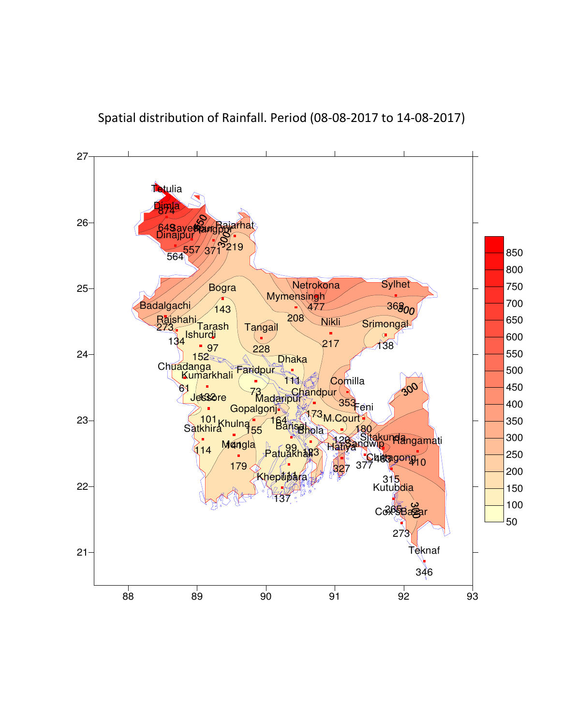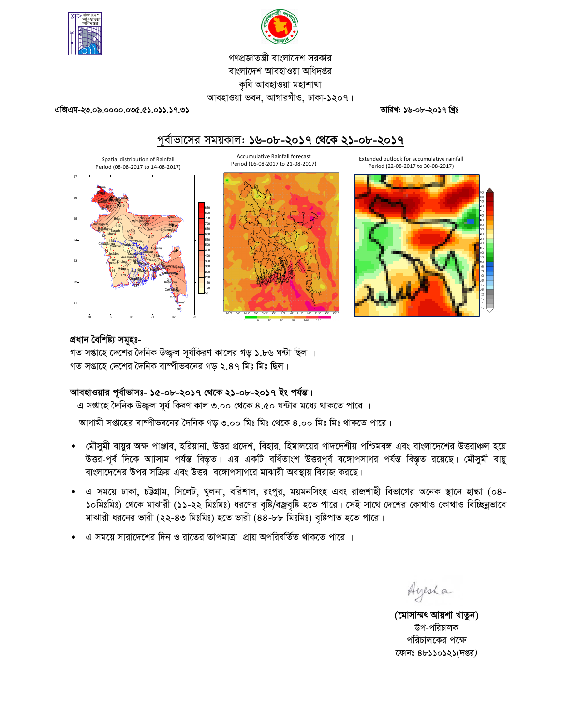



## গণপ্রজাতন্ত্রী বাংলাদেশ সরকার বাংলাদেশ আবহাওয়া অধিদপ্তর কৃষি আবহাওয়া মহাশাখা আবহাওয়া ভবন, আগারগাঁও, ঢাকা-১২০৭।

তারিখ: ১৬-০৮-২০১৭ খ্রিঃ

এজিএম-২৩.০৯.০০০০.০৩৫.৫১.০১১.১৭.৩১

# পূর্বাভাসের সময়কাল: ১৬-০৮-২০১৭ থেকে ২১-০৮-২০১৭

Accumulative Rainfall forecast

Period (16-08-2017 to 21-08-2017)

Extended outlook for accumulative rainfall Period (22-08-2017 to 30-08-2017)



90.5E 91E 91.5E 92E 92.5E 93E



#### প্ৰধান বৈশিষ্ট্য সমূহঃ-

গত সপ্তাহে দেশের দৈনিক উজ্জ্বল সূর্যকিরণ কালের গড় ১.৮৬ ঘন্টা ছিল । গত সপ্তাহে দেশের দৈনিক বাষ্পীভবনের গড় ২.৪৭ মিঃ মিঃ ছিল।

## আবহাওয়ার পূর্বাভাসঃ- ১৫-০৮-২০১৭ থেকে ২১-০৮-২০১৭ ইং পর্যন্ত।

এ সপ্তাহে দৈনিক উজ্জুল সূর্য কিরণ কাল ৩.০০ থেকে ৪.৫০ ঘন্টার মধ্যে থাকতে পারে ।

আগামী সপ্তাহের বাম্পীভবনের দৈনিক গড় ৩.০০ মিঃ মিঃ থেকে ৪.০০ মিঃ মিঃ থাকতে পারে।

- মৌসুমী বায়ুর অক্ষ পাঞ্জাব, হরিয়ানা, উত্তর প্রদেশ, বিহার, হিমালয়ের পাদদেশীয় পশ্চিমবঙ্গ এবং বাংলাদেশের উত্তরাঞ্চল হয়ে  $\bullet$ উত্তর-পূর্ব দিকে আাসাম পর্যন্ত বিস্তৃত। এর একটি বর্ধিতাংশ উত্তরপূর্ব বঙ্গোপসাগর পর্যন্ত বিস্তৃত রয়েছে। মৌসুমী বায়ু বাংলাদেশের উপর সক্রিয় এবং উত্তর বঙ্গোপসাগরে মাঝারী অবস্থায় বিরাজ করছে।
- এ সময়ে ঢাকা, চউগ্রাম, সিলেট, খুলনা, বরিশাল, রংপুর, ময়মনসিংহ এবং রাজশাহী বিভাগের অনেক স্থানে হাল্কা (০৪-১০মিঃমিঃ) থেকে মাঝারী (১১-২২ মিঃমিঃ) ধরণের বৃষ্টি/বজ্রবৃষ্টি হতে পারে। সেই সাথে দেশের কোথাও কোথাও বিচ্ছিন্নভাবে মাঝারী ধরনের ভারী (২২-৪৩ মিঃমিঃ) হতে ভারী (৪৪-৮৮ মিঃমিঃ) বৃষ্টিপাত হতে পারে।
- 'এ সময়ে সারাদেশের দিন ও রাতের তাপমাত্রা প্রায় অপরিবর্তিত থাকতে পারে ।

Ayesha

(মোসাম্মৎ আয়শা খাতুন) উপ-পরিচালক পরিচালকের পক্ষে ফোনঃ ৪৮১১০১২১(দপ্তর)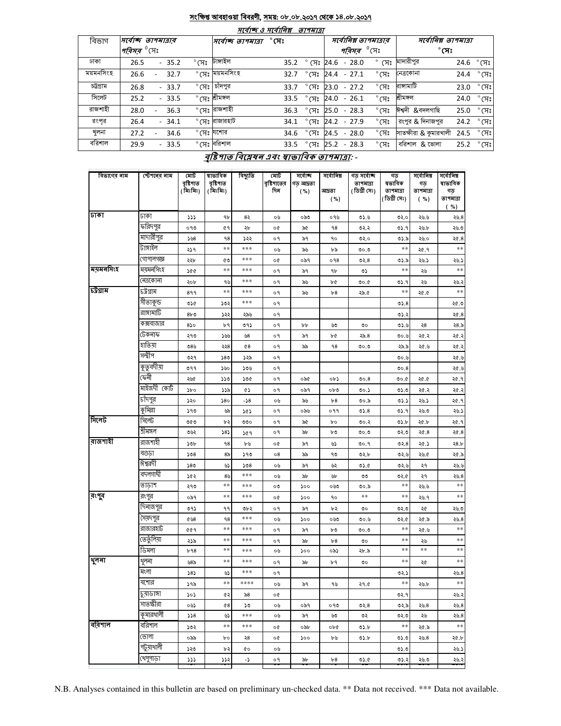#### <u>সংক্ষিপ্ত আবহাওয়া বিবরণী, সময়: ০৮.০৮.২০১৭ থেকে ১৪.০৮.২০১৭</u> صد

 $\overline{\phantom{a}}$ 

| માવાજ્ઞ ૩ માવાાનશ્ન<br><i>פואיזופ</i> |                                              |                                      |                        |                                           |                                                 |  |  |  |  |  |  |
|---------------------------------------|----------------------------------------------|--------------------------------------|------------------------|-------------------------------------------|-------------------------------------------------|--|--|--|--|--|--|
| বিভাগ                                 | সৰ্বোচ্ছ তাপমাত্ৰাব                          | $^\circ$ সেঃ<br> সর্বোচ্ছ ত্যপমাত্রা |                        | সর্বোনিম্ন তাপমাত্রার                     | সর্বোনিম্ন তাপমাত্রা                            |  |  |  |  |  |  |
|                                       | <i>পরিসর <sup>৩</sup></i> সেঃ                |                                      |                        | <i>পরিসর <sup>৩</sup></i> সেঃ             | $^\circ$ সেঃ                                    |  |  |  |  |  |  |
| ঢাকা                                  | $^{\circ}$ (সঃ<br>$-35.2$<br>26.5            | টাঙ্গাইল<br>35.2                     |                        | $\degree$ (সঃ 24.6 - 28.0                 | ° সেঃ মাদারীপুর<br>$24.6 °$ (সঃ                 |  |  |  |  |  |  |
| ময়মনসিংহ                             | 32.7<br>26.6<br>$\overline{\phantom{a}}$     | $^\circ$ সেঃ ময়মনসিংহ<br>32.7       | $^{\circ}$ (সঃ         | $^{\circ}$ সেঃ<br>$24.4 - 27.1$           | $^\circ$ সেঃ<br>নেত্রকোনা<br>24.4               |  |  |  |  |  |  |
| চট্টগ্ৰাম                             | $^{\circ}$ (H) $^{\circ}$<br>26.8<br>$-33.7$ | চাঁদপুর<br>33.7                      | $\degree$ সেঃ          | $\degree$ (X $\degree$<br>23.0<br>$-27.2$ | রাসামাটি<br>$^{\circ}$ সেঃ<br>23.0              |  |  |  |  |  |  |
| সিলেট                                 | $-33.5$<br>25.2                              | $^\circ$ সেঃ শীমঙ্গল<br>33.5         | $\degree$ (সঃ          | $-26.1$<br>$^{\circ}$ (সঃ<br>24.0         | শ্ৰীমঙ্গল<br>$24.0 °$ (সঃ                       |  |  |  |  |  |  |
| রাজশাহী                               | 36.3<br>28.0                                 | ° সেঃ রাজশাহী<br>36.3                | $^\circ$ সেঃ           | $^{\circ}$ (সঃ<br>25.0<br>$-28.3$         | ঈশ্বদী &বদলগাছি<br>$^{\circ}$ (সঃ<br>25.0       |  |  |  |  |  |  |
| রংপর                                  | $-34.1$<br>26.4                              | ° সেঃ রাজারহাট<br>34.1               | $^{\circ}$ সেঃ         | 24.2 - 27.9<br>$^{\circ}$ (সঃ             | রংপুর & দিনাজপুর<br>$^{\circ}$ সেঃ<br>24.2      |  |  |  |  |  |  |
| খুলনা                                 | 27.2<br>34.6                                 | °মেঃ <sup>যশোর</sup><br>34.6         | $^{\circ}$ সেঃ         | $^{\circ}$ (সঃ<br>24.5 - 28.0             | সাতক্ষীরা & কুমারখালী<br>$^{\circ}$ (সঃ<br>24.5 |  |  |  |  |  |  |
| বরিশাল                                | $-33.5$<br>29.9                              | $^\circ$ সেঃ বরিশাল<br>33.5          | $\degree$ CF $\degree$ | $^{\circ}$ (সঃ<br>$25.2 - 28.3$           | বরিশাল & ভোলা<br>$^{\circ}$ (সঃ<br>25.2         |  |  |  |  |  |  |

## বৃষ্টিপাত বিশ্লেষৰ এবং ম্বাভাবিক তাপমাত্ৰা: -

| বিভাগের নাম | স্টেশনের নাম | মোট<br>বৃষ্টিপাত<br>(মিঃমিঃ) | ষাভাবিক<br>বৃষ্টিশাত<br>(মিঃমিঃ) | বিছ্যুতি | মোট<br>বৃষ্টিশাতের<br>দিন | সৰ্বোচ্ছ<br>গড আদ্রতা<br>(%) | সৰ্বোনিম্ন<br>আদ্ৰতা<br>( %) | গড সৰ্বোচ্ছ<br>তাপমাত্রা<br>(ডিগ্ৰী সেঃ) | গড<br>ষভাবিক<br>তাপমাত্রা<br>(ডিগ্ৰী সেঃ) | সৰ্বোনিম্ন<br>গড<br>তাপমাত্রা<br>$(*\%)$ | সৰ্বোনিম্ন<br>ষাভাবিক<br>গড়<br>তাপমাত্রা<br>(%) |
|-------------|--------------|------------------------------|----------------------------------|----------|---------------------------|------------------------------|------------------------------|------------------------------------------|-------------------------------------------|------------------------------------------|--------------------------------------------------|
| जका         | ঢাকা         | 555                          | ٩b                               | 82       | ০৬                        | ০৯৩                          | ০৭৬                          | 0.60                                     | ৩২.০                                      | ২৬.৬                                     | 20.8                                             |
|             | ফরিদপুর      | ०१७                          | 69                               | ২৮       | o¢                        | ৯৫                           | ٩8                           | ৩২.২                                     | ৩১.৭                                      | ২৬.৮                                     | ২৬.৩                                             |
|             | মাদারীপুর    | 5.58                         | 98                               | ১২২      | о۹                        | ৯৭                           | ٩o                           | ৩২.০                                     | ৩১.৯                                      | ২৬.০                                     | ২৫.৪                                             |
|             | টাঙ্গাইল     | ২১৭                          | **                               | ***      | ০৬                        | ৯৬                           | ৮৯                           | 0.00                                     | $***$                                     | ২৫.৭                                     | $\ast\ast$                                       |
|             | গোপালগজ্ঞ    | ২২৮                          | ৫৩                               | ***      | o¢                        | ০৯৭                          | 098                          | 02.8                                     | ৩১.৯                                      | ২৬.১                                     | ২৬.১                                             |
| ময়মনসিংহ   | ময়মনসিংহ    | 200                          | **                               | ***      | о۹                        | ৯৭                           | ٩b                           | ৩১                                       | **                                        | ২৬                                       | $***$                                            |
|             | নেত্ৰকোনা    | ২০৮                          | ৭৬                               | ***      | ०१                        | ৯৬                           | ৮৫                           | 0.00                                     | ৩১.৭                                      | ২৬                                       | ২৬.২                                             |
| চউগ্ৰাম     | চট্টগ্রাম    | 899                          | **                               | ***      | ०१                        | ৯৬                           | b8                           | ২৯.৫                                     | **                                        | 20.0                                     | $\ast\ast$                                       |
|             | সীতাকুন্ড    | ৩১৫                          | ১৩২                              | ***      | о۹                        |                              |                              |                                          | 05.8                                      |                                          | ২৫.৩                                             |
|             | রাঙ্গামাটি   | 8b0                          | ১২২                              | ২৯৬      | о۹                        |                              |                              |                                          | 05.3                                      |                                          | ২৫.৪                                             |
|             | কক্সবাজার    | 850                          | ৮৭                               | ৩৭১      | ०१                        | bþ                           | ৬৩                           | ৩০                                       | ৩১.৬                                      | ২৪                                       | ২8.৯                                             |
|             | টেকনাফ       | ২৭৩                          | ১৬৬                              | 98       | о۹                        | ৯৭                           | ৮৫                           | ২৯.৪                                     | ৩০.৬                                      | ২৫.২                                     | ২৫.২                                             |
|             | যতিয়া       | ৩৪৬                          | ২২8                              | $^{68}$  | о٩                        | ৯৯                           | ٩8                           | 0.00                                     | ২৯.৯                                      | ২৫.৬                                     | ২৫.২                                             |
|             | সন্দ্বীপ     | ৩২৭                          | 580                              | ১২৯      | ०१                        |                              |                              |                                          | ৩০.৬                                      |                                          | ২৫.৬                                             |
|             | কুতুবদীয়া   | ৩৭৭                          | ১৬০                              | ১৩৬      | о٩                        |                              |                              |                                          | 00.8                                      |                                          | ২৫.৬                                             |
|             | কেনী         | ২৬৫                          | ১১৩                              | ১৩৫      | ०१                        | ০৯৫                          | ob)                          | 00.8                                     | ৩০.৫                                      | ২৫.৫                                     | ২৫.৭                                             |
|             | মাইজদী কোর্ট | ১৮০                          | ১১৯                              | ¢۵       | ०१                        | ০৯৭                          | 0 <sub>b</sub>               | 00.5                                     | ৩১.৩                                      | ২৫.২                                     | ২৫.২                                             |
|             | চাঁদপুর      | ১২০                          | 580                              | -১৪      | ০৬                        | ৯৬                           | b8                           | ৩০.৯                                     | ৩১.১                                      | ২৬.১                                     | ২৫.৭                                             |
|             | কুমিল্লা     | ১৭৩                          | ৬৯                               | ১৫১      | ०१                        | ০৯৬                          | ०११                          | 05.8                                     | ৩১.৭                                      | ২৬.৩                                     | ২৬.১                                             |
| সিলেট       | সিলেট        | ৩৫৩                          | ৮২                               | ৩৩০      | о۹                        | ৯৫                           | bο                           | ৩০.২                                     | ৩১.৮                                      | ২৫.৮                                     | ২৫.৭                                             |
|             | শ্ৰীমঙ্গল    | ৩৬২                          | 383                              | ১৫৭      | ०१                        | ৯৮                           | ৮৩                           | ಲಿ.೦                                     | ৩২৩                                       | ২৫.৪                                     | ২৫.৪                                             |
| রাজশাহী     | রাজশাহী      | ১৩৮                          | 98                               | ৮৬       | o¢                        | ৯৭                           | ৬১                           | ৩০.৭                                     | 02.8                                      | ২৫.১                                     | ২8.৮                                             |
|             | বগুড়া       | 508                          | 8 <sub>b</sub>                   | ১৭৩      | $\circ 8$                 | ৯৯                           | ৭৩                           | ৩২.৮                                     | ৩২.৬                                      | ২৬.৫                                     | ২৫.৯                                             |
|             | ঈশ্বরদী      | 580                          | ৬১                               | 508      | ০৬                        | ৯৭                           | ৬২                           | ৩১.৫                                     | 02.6                                      | ২৭                                       | ২৬.৬                                             |
|             | বদলগাঘী      | ১৫২                          | 8 <sub>9</sub>                   | ***      | ০৬                        | ৯৮                           | ৬৮                           | ৩৩                                       | ৩২.৫                                      | ২৭                                       | 20.8                                             |
|             | তাড়াশ       | ২৭৩                          | **                               | ***      | ০৩                        | ১০০                          | ০৬৩                          | ৩০.৯                                     | $***$                                     | ২৬.৬                                     | $\ast\ast$                                       |
| রংপুর       | রংপুর        | ০৯৭                          | **                               | ***      | o¢                        | ১০০                          | ٩o                           | $***$                                    | $***$                                     | ২৬.৭                                     | $***$                                            |
|             | দিনাজপুর     | ৩৭১                          | ۹۹                               | ৩৮২      | о٩                        | ৯৭                           | ৮২                           | ৩০                                       | ৩২৩                                       | ২৫                                       | ২৬.৩                                             |
|             | সৈয়দপুর     | ৫৬8                          | 98                               | ***      | ০৬                        | ১০০                          | ০৬৩                          | ৩০.৬                                     | ৩২.৫                                      | ২৫.৯                                     | 20.8                                             |
|             | রাজারহাট     | 649                          | **                               | ***      | ०१                        | ৯৭                           | ৮৩                           | 0.00                                     | $***$                                     | ২৫.৬                                     | $***$                                            |
|             | তেতুঁলিয়া   | ২১৯                          | **                               | ***      | ०१                        | ৯৮                           | b8                           | ৩০                                       | $***$                                     | ২৬                                       | $***$                                            |
|             | ডিমলা        | b98                          | **                               | ***      | ০৬                        | ১০০                          | ০৯১                          | ২৮.৯                                     | $***$                                     | $\ast\ast$                               | $***$                                            |
| থুলনা       | থুলনা        | ৬৪৯                          | **                               | ***      | о۹                        | ৯৮                           | ৮৭                           | ৩০                                       | $***$                                     | ২৫                                       | $***$                                            |
|             | মংলা         | 585                          | ৬১                               | ***      | o٩                        |                              |                              |                                          | ৩২.১                                      |                                          | 20.8                                             |
|             | যশোর         | ১৭৯                          | **                               | ****     | ০৬                        | ৯৭                           | ৭৬                           | ২৭.৫                                     | $\ast\ast$                                | ২৬.৮                                     | **                                               |
|             | চুয়াডাঙ্গা  | ১০১                          | ৫২                               | ৯৪       | o¢                        |                              |                              |                                          | ৩২.৭                                      |                                          | ২৬.২                                             |
|             | সাতস্কীরা    | ০৬১                          | 48                               | ১৩       | ০৬                        | ০৯৭                          | ০৭৩                          | 0.8                                      | ৩২.৯                                      | ২৬.৪                                     | ২৬.৪                                             |
|             | কুমারথালী    | 558                          | ৬১                               | ***      | ০৬                        | ৯৭                           | ৬৩                           | ৩২                                       | ৩২৩                                       | ২৬                                       | ২৬.৪                                             |
| বরিশাল      | বরিশাল       | ১৩২                          | $***$                            | ***      | o¢                        | ০৯৮                          | ০৮৫                          | ৩১.৮                                     | $***$                                     | ২৫.৯                                     | $\ast\ast$                                       |
|             | ভোলা         | ০৯৯                          | bο                               | ২৪       | o¢                        | ১০০                          | ৮৬                           | ৩১.৮                                     | 0.60                                      | ২৬.৪                                     | ২৫.৮                                             |
|             | পটুয়াথালী   | ১২৩                          | ৮২                               | ¢о       | ০৬                        |                              |                              |                                          | 0.20                                      |                                          | ২৬.১                                             |
|             | খেপুপাড়া    | ددد                          | ১১২                              | - ১      | о۹                        | ৯৮                           | b8                           | ৩১.৫                                     | ৩১.২                                      | ২৬.৩                                     | ২৬.২                                             |
|             |              |                              |                                  |          |                           |                              |                              |                                          |                                           |                                          |                                                  |

N.B. Analyses contained in this bulletin are based on preliminary un-checked data. \*\* Data not received. \*\*\* Data not available.